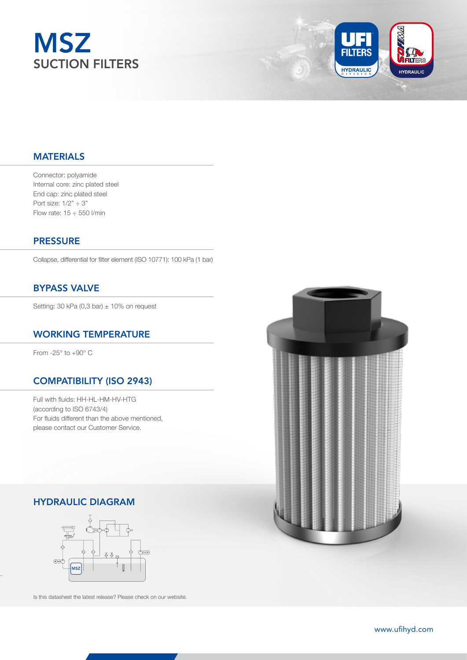



### MATERIALS

Connector: polyamide Internal core: zinc plated steel End cap: zinc plated steel Port size:  $1/2" \div 3"$ Flow rate:  $15 \div 550$  I/min

### **PRESSURE**

Collapse, differential for filter element (ISO 10771): 100 kPa (1 bar)

# BYPASS VALVE

Setting: 30 kPa (0,3 bar)  $\pm$  10% on request

### WORKING TEMPERATURE

From -25° to +90° C

#### COMPATIBILITY (ISO 2943)

Full with fluids: HH-HL-HM-HV-HTG (according to ISO 6743/4) For fluids different than the above mentioned, please contact our Customer Service.

# HYDRAULIC DIAGRAM



Is this datasheet the latest release? Please check on our website.



61 www.ufihyd.com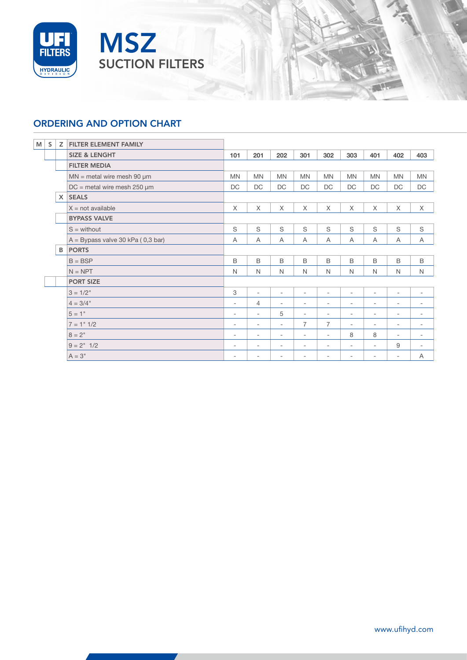



# ORDERING AND OPTION CHART

| M<br>S | Z        | FILTER ELEMENT FAMILY               |                          |                          |                          |                          |                          |                          |                          |                          |                          |
|--------|----------|-------------------------------------|--------------------------|--------------------------|--------------------------|--------------------------|--------------------------|--------------------------|--------------------------|--------------------------|--------------------------|
|        |          | <b>SIZE &amp; LENGHT</b>            | 101                      | 201                      | 202                      | 301                      | 302                      | 303                      | 401                      | 402                      | 403                      |
|        |          | <b>FILTER MEDIA</b>                 |                          |                          |                          |                          |                          |                          |                          |                          |                          |
|        |          | $MN$ = metal wire mesh 90 $\mu$ m   | <b>MN</b>                | <b>MN</b>                | <b>MN</b>                | <b>MN</b>                | <b>MN</b>                | <b>MN</b>                | <b>MN</b>                | <b>MN</b>                | <b>MN</b>                |
|        |          | $DC$ = metal wire mesh 250 $\mu$ m  | DC                       | DC                       | DC                       | DC                       | DC                       | <b>DC</b>                | DC                       | DC                       | DC                       |
|        | $\times$ | <b>SEALS</b>                        |                          |                          |                          |                          |                          |                          |                          |                          |                          |
|        |          | $X = not available$                 | $\times$                 | $\times$                 | $\times$                 | $\times$                 | X                        | X                        | $\times$                 | $\times$                 | X                        |
|        |          | <b>BYPASS VALVE</b>                 |                          |                          |                          |                          |                          |                          |                          |                          |                          |
|        |          | $S =$ without                       | S                        | S                        | S                        | S                        | S                        | S                        | S                        | S                        | S                        |
|        |          | $A = Bypass value 30 kPa (0,3 bar)$ | Α                        | A                        | Α                        | Α                        | A                        | A                        | Α                        | Α                        | Α                        |
|        | B.       | <b>PORTS</b>                        |                          |                          |                          |                          |                          |                          |                          |                          |                          |
|        |          | $B = BSP$                           | $\mathsf B$              | $\mathsf B$              | B                        | B                        | B                        | B                        | B                        | $\mathsf B$              | B                        |
|        |          | $N = NPT$                           | $\mathsf{N}$             | N                        | N                        | $\mathsf{N}$             | $\mathsf{N}$             | $\mathsf{N}$             | N                        | $\mathsf{N}$             | N                        |
|        |          | <b>PORT SIZE</b>                    |                          |                          |                          |                          |                          |                          |                          |                          |                          |
|        |          | $3 = 1/2"$                          | 3                        | $\sim$                   | $\overline{\phantom{a}}$ | $\overline{\phantom{a}}$ | $\overline{\phantom{a}}$ | $\overline{\phantom{a}}$ | $\overline{\phantom{a}}$ | $\sim$                   | $\overline{\phantom{a}}$ |
|        |          | $4 = 3/4"$                          | $\overline{\phantom{a}}$ | $\overline{4}$           | $\overline{\phantom{a}}$ | $\overline{\phantom{a}}$ | $\overline{\phantom{a}}$ | $\overline{\phantom{a}}$ | $\overline{\phantom{a}}$ | $\sim$                   | $\overline{\phantom{a}}$ |
|        |          | $5 = 1"$                            | $\overline{\phantom{a}}$ | $\sim$                   | 5                        | $\overline{\phantom{a}}$ | $\overline{\phantom{a}}$ | $\overline{\phantom{a}}$ | $\overline{\phantom{a}}$ | ۰.                       | $\overline{\phantom{a}}$ |
|        |          | $7 = 1$ " $1/2$                     | $\overline{\phantom{a}}$ | $\overline{\phantom{a}}$ | $\overline{\phantom{a}}$ | $\overline{7}$           | $\overline{7}$           | $\overline{\phantom{a}}$ | $\overline{\phantom{a}}$ | $\sim$                   | $\overline{\phantom{a}}$ |
|        |          | $8 = 2"$                            | $\sim$                   | $\overline{\phantom{a}}$ | $\overline{\phantom{a}}$ | $\overline{\phantom{a}}$ | $\overline{\phantom{a}}$ | 8                        | 8                        | ٠                        | $\overline{\phantom{a}}$ |
|        |          | $9 = 2" 1/2$                        | $\overline{\phantom{a}}$ | $\overline{\phantom{a}}$ | -                        | $\overline{\phantom{a}}$ | $\overline{\phantom{a}}$ | $\overline{\phantom{a}}$ | $\overline{\phantom{a}}$ | 9                        | $\overline{\phantom{a}}$ |
|        |          | $A = 3"$                            | $\overline{\phantom{a}}$ | $\overline{\phantom{a}}$ | -                        | $\overline{\phantom{a}}$ | ۰.                       | $\overline{\phantom{a}}$ | $\overline{\phantom{a}}$ | $\overline{\phantom{a}}$ | A                        |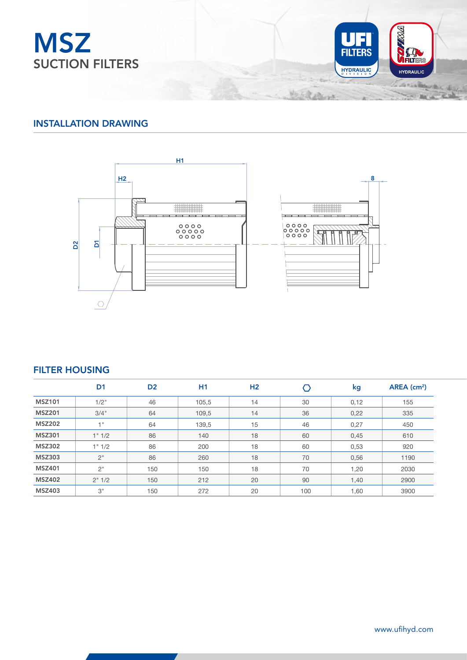



### INSTALLATION DRAWING



### FILTER HOUSING

|               | D <sub>1</sub> | D <sub>2</sub> | H <sub>1</sub> | H <sub>2</sub> |     | kg   | $AREA$ (cm <sup>2</sup> ) |
|---------------|----------------|----------------|----------------|----------------|-----|------|---------------------------|
| <b>MSZ101</b> | 1/2"           | 46             | 105,5          | 14             | 30  | 0,12 | 155                       |
| <b>MSZ201</b> | 3/4"           | 64             | 109,5          | 14             | 36  | 0,22 | 335                       |
| <b>MSZ202</b> | 1"             | 64             | 139,5          | 15             | 46  | 0,27 | 450                       |
| <b>MSZ301</b> | 1" 1/2         | 86             | 140            | 18             | 60  | 0,45 | 610                       |
| <b>MSZ302</b> | 1" 1/2         | 86             | 200            | 18             | 60  | 0,53 | 920                       |
| <b>MSZ303</b> | 2"             | 86             | 260            | 18             | 70  | 0,56 | 1190                      |
| <b>MSZ401</b> | 2"             | 150            | 150            | 18             | 70  | 1,20 | 2030                      |
| <b>MSZ402</b> | 2" 1/2         | 150            | 212            | 20             | 90  | 1,40 | 2900                      |
| <b>MSZ403</b> | 3"             | 150            | 272            | 20             | 100 | 1,60 | 3900                      |